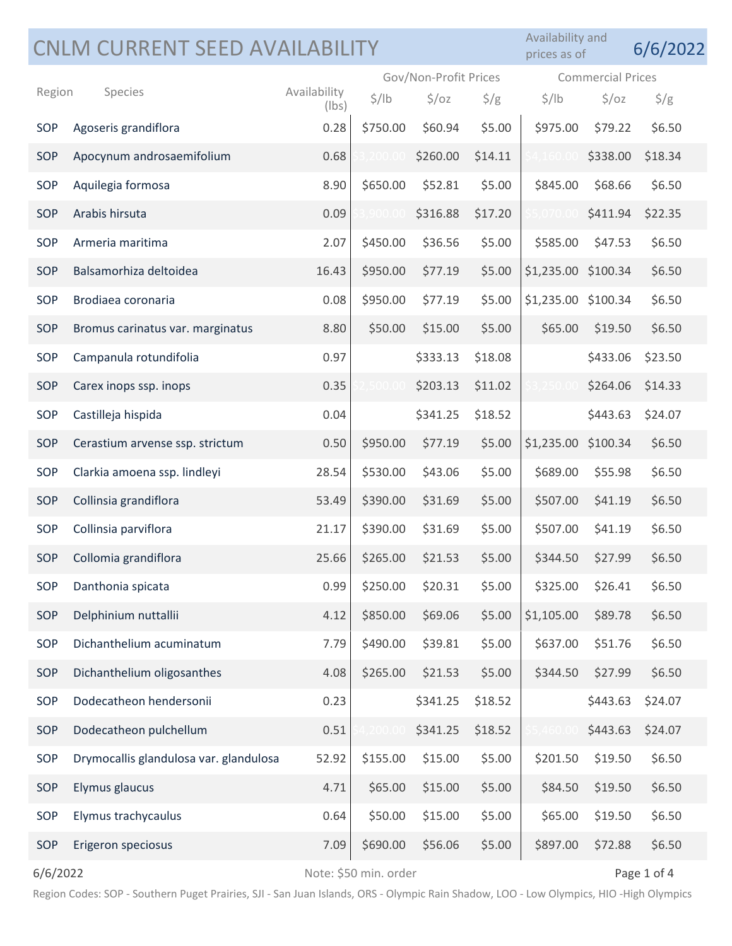|          | CNLM CURRENT SEED AVAILABILITY         |                       |                       |                   |               | Availability and<br>prices as of |                          | 6/6/2022      |  |
|----------|----------------------------------------|-----------------------|-----------------------|-------------------|---------------|----------------------------------|--------------------------|---------------|--|
|          |                                        |                       | Gov/Non-Profit Prices |                   |               |                                  | <b>Commercial Prices</b> |               |  |
| Region   | Species                                | Availability<br>(lbs) | $\frac{1}{2}$ /lb     | $\frac{1}{2}$ /oz | $\frac{1}{2}$ | $\frac{1}{2}$ /lb                | $\frac{1}{2}$ /oz        | $\frac{1}{2}$ |  |
| SOP      | Agoseris grandiflora                   | 0.28                  | \$750.00              | \$60.94           | \$5.00        | \$975.00                         | \$79.22                  | \$6.50        |  |
| SOP      | Apocynum androsaemifolium              | 0.68                  | .200.1                | \$260.00          | \$14.11       |                                  | \$338.00                 | \$18.34       |  |
| SOP      | Aquilegia formosa                      | 8.90                  | \$650.00              | \$52.81           | \$5.00        | \$845.00                         | \$68.66                  | \$6.50        |  |
| SOP      | Arabis hirsuta                         | 0.09                  | .900.0                | \$316.88          | \$17.20       |                                  | \$411.94                 | \$22.35       |  |
| SOP      | Armeria maritima                       | 2.07                  | \$450.00              | \$36.56           | \$5.00        | \$585.00                         | \$47.53                  | \$6.50        |  |
| SOP      | Balsamorhiza deltoidea                 | 16.43                 | \$950.00              | \$77.19           | \$5.00        | \$1,235.00 \$100.34              |                          | \$6.50        |  |
| SOP      | Brodiaea coronaria                     | 0.08                  | \$950.00              | \$77.19           | \$5.00        | \$1,235.00 \$100.34              |                          | \$6.50        |  |
| SOP      | Bromus carinatus var. marginatus       | 8.80                  | \$50.00               | \$15.00           | \$5.00        | \$65.00                          | \$19.50                  | \$6.50        |  |
| SOP      | Campanula rotundifolia                 | 0.97                  |                       | \$333.13          | \$18.08       |                                  | \$433.06                 | \$23.50       |  |
| SOP      | Carex inops ssp. inops                 | 0.35                  | 500.0                 | \$203.13          | \$11.02       |                                  | \$264.06                 | \$14.33       |  |
| SOP      | Castilleja hispida                     | 0.04                  |                       | \$341.25          | \$18.52       |                                  | \$443.63                 | \$24.07       |  |
| SOP      | Cerastium arvense ssp. strictum        | 0.50                  | \$950.00              | \$77.19           | \$5.00        | \$1,235.00                       | \$100.34                 | \$6.50        |  |
| SOP      | Clarkia amoena ssp. lindleyi           | 28.54                 | \$530.00              | \$43.06           | \$5.00        | \$689.00                         | \$55.98                  | \$6.50        |  |
| SOP      | Collinsia grandiflora                  | 53.49                 | \$390.00              | \$31.69           | \$5.00        | \$507.00                         | \$41.19                  | \$6.50        |  |
| SOP      | Collinsia parviflora                   | 21.17                 | \$390.00              | \$31.69           | \$5.00        | \$507.00                         | \$41.19                  | \$6.50        |  |
| SOP      | Collomia grandiflora                   | 25.66                 | \$265.00              | \$21.53           | \$5.00        | \$344.50                         | \$27.99                  | \$6.50        |  |
| SOP      | Danthonia spicata                      | 0.99                  | \$250.00              | \$20.31           | \$5.00        | \$325.00                         | \$26.41                  | \$6.50        |  |
| SOP      | Delphinium nuttallii                   | 4.12                  | \$850.00              | \$69.06           | \$5.00        | \$1,105.00                       | \$89.78                  | \$6.50        |  |
| SOP      | Dichanthelium acuminatum               | 7.79                  | \$490.00              | \$39.81           | \$5.00        | \$637.00                         | \$51.76                  | \$6.50        |  |
| SOP      | Dichanthelium oligosanthes             | 4.08                  | \$265.00              | \$21.53           | \$5.00        | \$344.50                         | \$27.99                  | \$6.50        |  |
| SOP      | Dodecatheon hendersonii                | 0.23                  |                       | \$341.25          | \$18.52       |                                  | \$443.63                 | \$24.07       |  |
| SOP      | Dodecatheon pulchellum                 | 0.51                  | ,200.0                | \$341.25          | \$18.52       | I60.C                            | \$443.63                 | \$24.07       |  |
| SOP      | Drymocallis glandulosa var. glandulosa | 52.92                 | \$155.00              | \$15.00           | \$5.00        | \$201.50                         | \$19.50                  | \$6.50        |  |
| SOP      | Elymus glaucus                         | 4.71                  | \$65.00               | \$15.00           | \$5.00        | \$84.50                          | \$19.50                  | \$6.50        |  |
| SOP      | Elymus trachycaulus                    | 0.64                  | \$50.00               | \$15.00           | \$5.00        | \$65.00                          | \$19.50                  | \$6.50        |  |
| SOP      | Erigeron speciosus                     | 7.09                  | \$690.00              | \$56.06           | \$5.00        | \$897.00                         | \$72.88                  | \$6.50        |  |
| 6/6/2022 |                                        |                       | Note: \$50 min. order |                   | Page 1 of 4   |                                  |                          |               |  |

Region Codes: SOP - Southern Puget Prairies, SJI - San Juan Islands, ORS - Olympic Rain Shadow, LOO - Low Olympics, HIO -High Olympics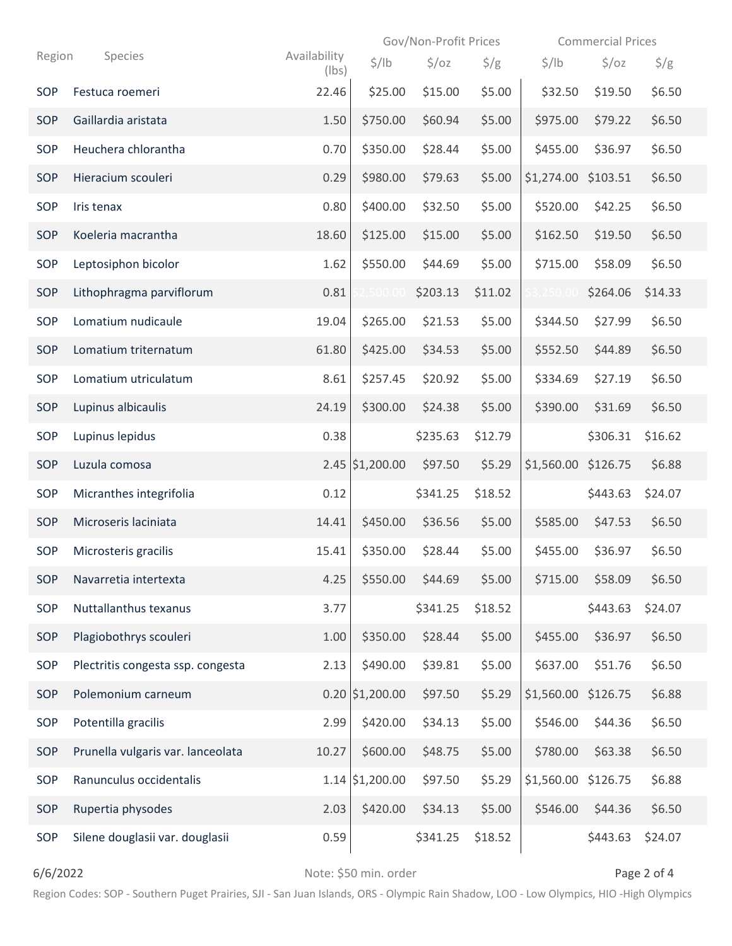|        |                 |                                   |                       | Gov/Non-Profit Prices |                   |                 | <b>Commercial Prices</b> |                   |               |  |
|--------|-----------------|-----------------------------------|-----------------------|-----------------------|-------------------|-----------------|--------------------------|-------------------|---------------|--|
| Region |                 | Species                           | Availability<br>(lbs) | $\frac{1}{2}$ /lb     | $\frac{1}{2}$ /oz | $\frac{\xi}{g}$ | $\frac{1}{2}$ /lb        | $\frac{1}{2}$ /oz | $\frac{1}{2}$ |  |
| SOP    | Festuca roemeri |                                   | 22.46                 | \$25.00               | \$15.00           | \$5.00          | \$32.50                  | \$19.50           | \$6.50        |  |
| SOP    |                 | Gaillardia aristata               | 1.50                  | \$750.00              | \$60.94           | \$5.00          | \$975.00                 | \$79.22           | \$6.50        |  |
| SOP    |                 | Heuchera chlorantha               | 0.70                  | \$350.00              | \$28.44           | \$5.00          | \$455.00                 | \$36.97           | \$6.50        |  |
| SOP    |                 | Hieracium scouleri                | 0.29                  | \$980.00              | \$79.63           | \$5.00          | \$1,274.00 \$103.51      |                   | \$6.50        |  |
| SOP    | Iris tenax      |                                   | 0.80                  | \$400.00              | \$32.50           | \$5.00          | \$520.00                 | \$42.25           | \$6.50        |  |
| SOP    |                 | Koeleria macrantha                | 18.60                 | \$125.00              | \$15.00           | \$5.00          | \$162.50                 | \$19.50           | \$6.50        |  |
| SOP    |                 | Leptosiphon bicolor               | 1.62                  | \$550.00              | \$44.69           | \$5.00          | \$715.00                 | \$58.09           | \$6.50        |  |
| SOP    |                 | Lithophragma parviflorum          | 0.81                  | .500.0                | \$203.13          | \$11.02         | 3,250.00                 | \$264.06          | \$14.33       |  |
| SOP    |                 | Lomatium nudicaule                | 19.04                 | \$265.00              | \$21.53           | \$5.00          | \$344.50                 | \$27.99           | \$6.50        |  |
| SOP    |                 | Lomatium triternatum              | 61.80                 | \$425.00              | \$34.53           | \$5.00          | \$552.50                 | \$44.89           | \$6.50        |  |
| SOP    |                 | Lomatium utriculatum              | 8.61                  | \$257.45              | \$20.92           | \$5.00          | \$334.69                 | \$27.19           | \$6.50        |  |
| SOP    |                 | Lupinus albicaulis                | 24.19                 | \$300.00              | \$24.38           | \$5.00          | \$390.00                 | \$31.69           | \$6.50        |  |
| SOP    | Lupinus lepidus |                                   | 0.38                  |                       | \$235.63          | \$12.79         |                          | \$306.31          | \$16.62       |  |
| SOP    | Luzula comosa   |                                   |                       | $2.45$ \$1,200.00     | \$97.50           | \$5.29          | \$1,560.00 \$126.75      |                   | \$6.88        |  |
| SOP    |                 | Micranthes integrifolia           | 0.12                  |                       | \$341.25          | \$18.52         |                          | \$443.63          | \$24.07       |  |
| SOP    |                 | Microseris laciniata              | 14.41                 | \$450.00              | \$36.56           | \$5.00          | \$585.00                 | \$47.53           | \$6.50        |  |
| SOP    |                 | Microsteris gracilis              | 15.41                 | \$350.00              | \$28.44           | \$5.00          | \$455.00                 | \$36.97           | \$6.50        |  |
| SOP    |                 | Navarretia intertexta             | 4.25                  | \$550.00              | \$44.69           | \$5.00          | \$715.00                 | \$58.09           | \$6.50        |  |
| SOP    |                 | Nuttallanthus texanus             | 3.77                  |                       | \$341.25          | \$18.52         |                          | \$443.63          | \$24.07       |  |
| SOP    |                 | Plagiobothrys scouleri            | 1.00                  | \$350.00              | \$28.44           | \$5.00          | \$455.00                 | \$36.97           | \$6.50        |  |
| SOP    |                 | Plectritis congesta ssp. congesta | 2.13                  | \$490.00              | \$39.81           | \$5.00          | \$637.00                 | \$51.76           | \$6.50        |  |
| SOP    |                 | Polemonium carneum                |                       | $0.20$ \$1,200.00     | \$97.50           | \$5.29          | \$1,560.00 \$126.75      |                   | \$6.88        |  |
| SOP    |                 | Potentilla gracilis               | 2.99                  | \$420.00              | \$34.13           | \$5.00          | \$546.00                 | \$44.36           | \$6.50        |  |
| SOP    |                 | Prunella vulgaris var. lanceolata | 10.27                 | \$600.00              | \$48.75           | \$5.00          | \$780.00                 | \$63.38           | \$6.50        |  |
| SOP    |                 | Ranunculus occidentalis           |                       | $1.14$ \$1,200.00     | \$97.50           | \$5.29          | \$1,560.00               | \$126.75          | \$6.88        |  |
| SOP    |                 | Rupertia physodes                 | 2.03                  | \$420.00              | \$34.13           | \$5.00          | \$546.00                 | \$44.36           | \$6.50        |  |
| SOP    |                 | Silene douglasii var. douglasii   | 0.59                  |                       | \$341.25          | \$18.52         |                          | \$443.63          | \$24.07       |  |

6/6/2022 **Details and American Contract S50 min.** order **Page 2 of 4** and  $\theta$  Page 2 of 4

Region Codes: SOP - Southern Puget Prairies, SJI - San Juan Islands, ORS - Olympic Rain Shadow, LOO - Low Olympics, HIO -High Olympics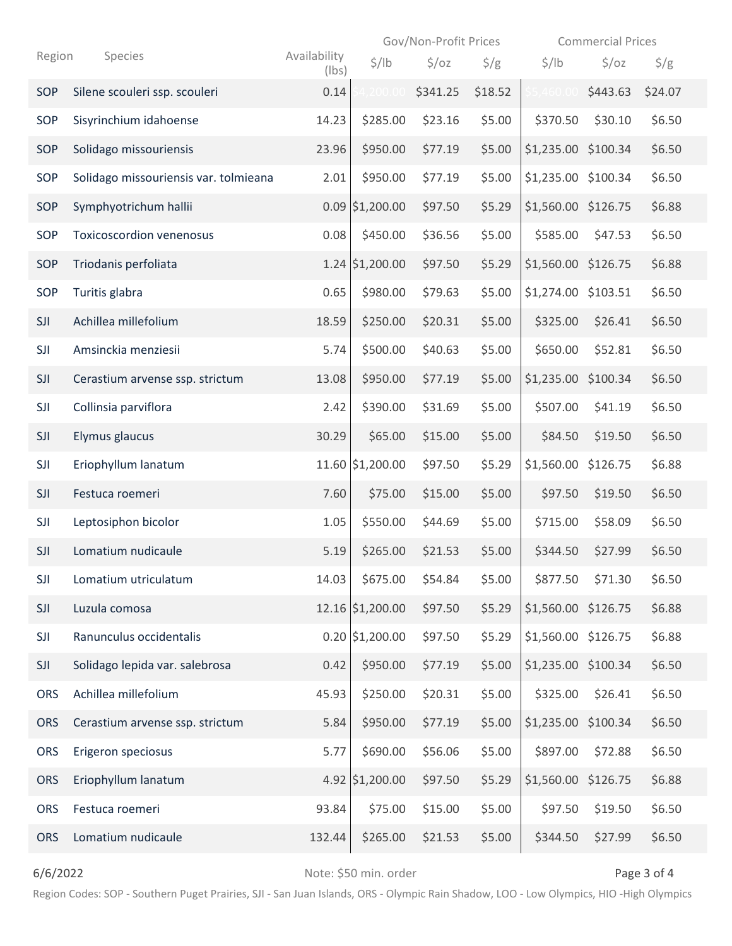|            |  |                                       |                       | Gov/Non-Profit Prices |                   |               | <b>Commercial Prices</b> |                   |               |
|------------|--|---------------------------------------|-----------------------|-----------------------|-------------------|---------------|--------------------------|-------------------|---------------|
| Region     |  | Species                               | Availability<br>(lbs) | $\frac{1}{2}$ /lb     | $\frac{1}{2}$ /oz | $\frac{1}{2}$ | $\frac{1}{2}$ /lb        | $\frac{1}{2}$ /oz | $\frac{1}{2}$ |
| SOP        |  | Silene scouleri ssp. scouleri         | 0.14                  | ,200.00               | \$341.25          | \$18.52       | .460.0                   | \$443.63          | \$24.07       |
| SOP        |  | Sisyrinchium idahoense                | 14.23                 | \$285.00              | \$23.16           | \$5.00        | \$370.50                 | \$30.10           | \$6.50        |
| <b>SOP</b> |  | Solidago missouriensis                | 23.96                 | \$950.00              | \$77.19           | \$5.00        | \$1,235.00 \$100.34      |                   | \$6.50        |
| SOP        |  | Solidago missouriensis var. tolmieana | 2.01                  | \$950.00              | \$77.19           | \$5.00        | \$1,235.00 \$100.34      |                   | \$6.50        |
| SOP        |  | Symphyotrichum hallii                 |                       | $0.09$ \$1,200.00     | \$97.50           | \$5.29        | \$1,560.00 \$126.75      |                   | \$6.88        |
| SOP        |  | <b>Toxicoscordion venenosus</b>       | 0.08                  | \$450.00              | \$36.56           | \$5.00        | \$585.00                 | \$47.53           | \$6.50        |
| SOP        |  | Triodanis perfoliata                  |                       | 1.24 \$1,200.00       | \$97.50           | \$5.29        | \$1,560.00 \$126.75      |                   | \$6.88        |
| SOP        |  | Turitis glabra                        | 0.65                  | \$980.00              | \$79.63           | \$5.00        | \$1,274.00 \$103.51      |                   | \$6.50        |
| SJI        |  | Achillea millefolium                  | 18.59                 | \$250.00              | \$20.31           | \$5.00        | \$325.00                 | \$26.41           | \$6.50        |
| SJI        |  | Amsinckia menziesii                   | 5.74                  | \$500.00              | \$40.63           | \$5.00        | \$650.00                 | \$52.81           | \$6.50        |
| SJI        |  | Cerastium arvense ssp. strictum       | 13.08                 | \$950.00              | \$77.19           | \$5.00        | \$1,235.00 \$100.34      |                   | \$6.50        |
| SJI        |  | Collinsia parviflora                  | 2.42                  | \$390.00              | \$31.69           | \$5.00        | \$507.00                 | \$41.19           | \$6.50        |
| SJI        |  | Elymus glaucus                        | 30.29                 | \$65.00               | \$15.00           | \$5.00        | \$84.50                  | \$19.50           | \$6.50        |
| SJI        |  | Eriophyllum lanatum                   |                       | 11.60 \$1,200.00      | \$97.50           | \$5.29        | \$1,560.00               | \$126.75          | \$6.88        |
| SJI        |  | Festuca roemeri                       | 7.60                  | \$75.00               | \$15.00           | \$5.00        | \$97.50                  | \$19.50           | \$6.50        |
| SJI        |  | Leptosiphon bicolor                   | 1.05                  | \$550.00              | \$44.69           | \$5.00        | \$715.00                 | \$58.09           | \$6.50        |
| SJI        |  | Lomatium nudicaule                    | 5.19                  | \$265.00              | \$21.53           | \$5.00        | \$344.50                 | \$27.99           | \$6.50        |
| SJI        |  | Lomatium utriculatum                  | 14.03                 | \$675.00              | \$54.84           | \$5.00        | \$877.50                 | \$71.30           | \$6.50        |
| SJI        |  | Luzula comosa                         |                       | 12.16 \$1,200.00      | \$97.50           | \$5.29        | \$1,560.00 \$126.75      |                   | \$6.88        |
| SJI        |  | Ranunculus occidentalis               |                       | $0.20$ \$1,200.00     | \$97.50           | \$5.29        | \$1,560.00 \$126.75      |                   | \$6.88        |
| SJI        |  | Solidago lepida var. salebrosa        | 0.42                  | \$950.00              | \$77.19           | \$5.00        | \$1,235.00 \$100.34      |                   | \$6.50        |
| <b>ORS</b> |  | Achillea millefolium                  | 45.93                 | \$250.00              | \$20.31           | \$5.00        | \$325.00                 | \$26.41           | \$6.50        |
| <b>ORS</b> |  | Cerastium arvense ssp. strictum       | 5.84                  | \$950.00              | \$77.19           | \$5.00        | \$1,235.00 \$100.34      |                   | \$6.50        |
| <b>ORS</b> |  | Erigeron speciosus                    | 5.77                  | \$690.00              | \$56.06           | \$5.00        | \$897.00                 | \$72.88           | \$6.50        |
| <b>ORS</b> |  | Eriophyllum lanatum                   |                       | 4.92 \$1,200.00       | \$97.50           | \$5.29        | \$1,560.00 \$126.75      |                   | \$6.88        |
| <b>ORS</b> |  | Festuca roemeri                       | 93.84                 | \$75.00               | \$15.00           | \$5.00        | \$97.50                  | \$19.50           | \$6.50        |
| <b>ORS</b> |  | Lomatium nudicaule                    | 132.44                | \$265.00              | \$21.53           | \$5.00        | \$344.50                 | \$27.99           | \$6.50        |

6/6/2022 **Details and Science 2 of 4** Note: \$50 min. order **Page 3 of 4** Page 3 of 4

Region Codes: SOP - Southern Puget Prairies, SJI - San Juan Islands, ORS - Olympic Rain Shadow, LOO - Low Olympics, HIO -High Olympics